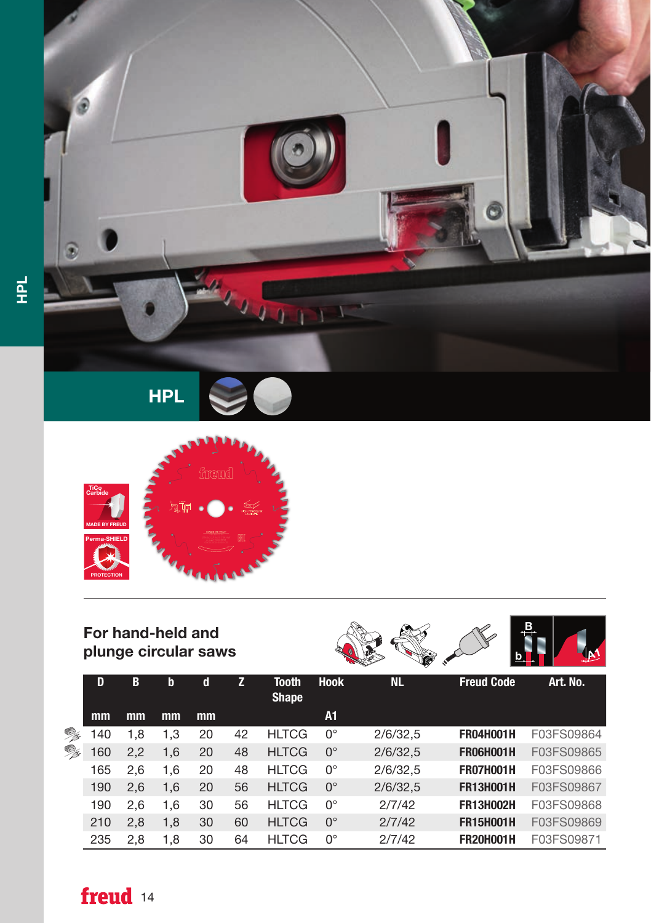



## For hand-held and plunge circular saws



|    | D   | В   | b   | d  | z  | <b>Tooth</b><br><b>Shape</b> | <b>Hook</b> | NL       | <b>Freud Code</b> | Art. No.   |
|----|-----|-----|-----|----|----|------------------------------|-------------|----------|-------------------|------------|
|    | mm  | mm  | mm  | mm |    |                              | A1          |          |                   |            |
| X  | 140 | 1,8 | 1,3 | 20 | 42 | <b>HLTCG</b>                 | $0^{\circ}$ | 2/6/32.5 | <b>FR04H001H</b>  | F03FS09864 |
| g, | 160 | 2,2 | 1,6 | 20 | 48 | <b>HLTCG</b>                 | $0^{\circ}$ | 2/6/32.5 | <b>FR06H001H</b>  | F03FS09865 |
|    | 165 | 2.6 | 1.6 | 20 | 48 | <b>HLTCG</b>                 | $0^{\circ}$ | 2/6/32.5 | <b>FR07H001H</b>  | F03FS09866 |
|    | 190 | 2.6 | 1,6 | 20 | 56 | <b>HLTCG</b>                 | $0^{\circ}$ | 2/6/32.5 | <b>FR13H001H</b>  | F03FS09867 |
|    | 190 | 2.6 | 1.6 | 30 | 56 | <b>HLTCG</b>                 | $0^{\circ}$ | 2/7/42   | <b>FR13H002H</b>  | F03FS09868 |
|    | 210 | 2,8 | 1,8 | 30 | 60 | <b>HLTCG</b>                 | $0^{\circ}$ | 2/7/42   | <b>FR15H001H</b>  | F03FS09869 |
|    | 235 | 2,8 | 1,8 | 30 | 64 | <b>HLTCG</b>                 | $0^{\circ}$ | 2/7/42   | <b>FR20H001H</b>  | F03FS09871 |

freud 14